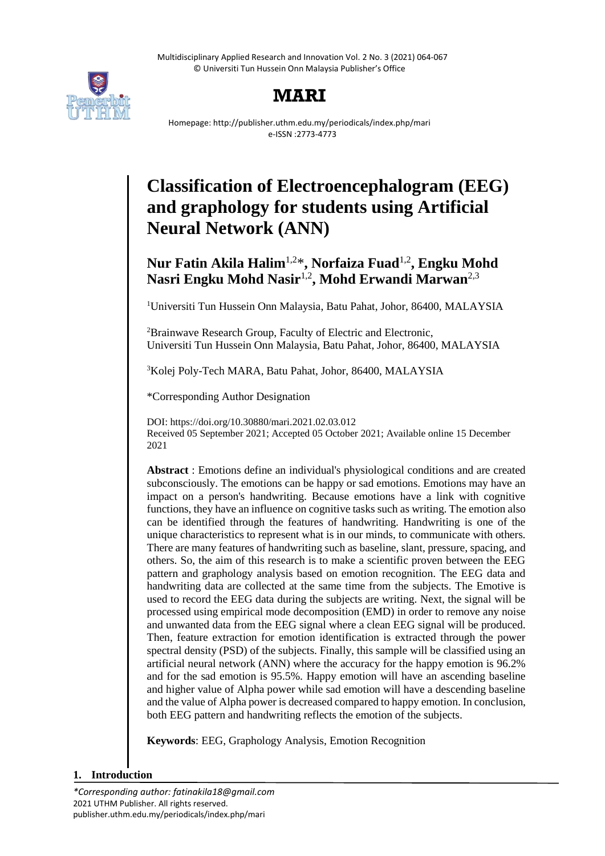Multidisciplinary Applied Research and Innovation Vol. 2 No. 3 (2021) 064-067 © Universiti Tun Hussein Onn Malaysia Publisher's Office



# **MARI**

Homepage: http://publisher.uthm.edu.my/periodicals/index.php/mari e-ISSN :2773-4773

# **Classification of Electroencephalogram (EEG) and graphology for students using Artificial Neural Network (ANN)**

# **Nur Fatin Akila Halim**1,2\* **, Norfaiza Fuad**1,2 **, Engku Mohd Nasri Engku Mohd Nasir**1,2 **, Mohd Erwandi Marwan**2,3

<sup>1</sup>Universiti Tun Hussein Onn Malaysia, Batu Pahat, Johor, 86400, MALAYSIA

<sup>2</sup>Brainwave Research Group, Faculty of Electric and Electronic, Universiti Tun Hussein Onn Malaysia, Batu Pahat, Johor, 86400, MALAYSIA

<sup>3</sup>Kolej Poly-Tech MARA, Batu Pahat, Johor, 86400, MALAYSIA

\*Corresponding Author Designation

DOI: https://doi.org/10.30880/mari.2021.02.03.012 Received 05 September 2021; Accepted 05 October 2021; Available online 15 December 2021

**Abstract** : Emotions define an individual's physiological conditions and are created subconsciously. The emotions can be happy or sad emotions. Emotions may have an impact on a person's handwriting. Because emotions have a link with cognitive functions, they have an influence on cognitive tasks such as writing. The emotion also can be identified through the features of handwriting. Handwriting is one of the unique characteristics to represent what is in our minds, to communicate with others. There are many features of handwriting such as baseline, slant, pressure, spacing, and others. So, the aim of this research is to make a scientific proven between the EEG pattern and graphology analysis based on emotion recognition. The EEG data and handwriting data are collected at the same time from the subjects. The Emotive is used to record the EEG data during the subjects are writing. Next, the signal will be processed using empirical mode decomposition (EMD) in order to remove any noise and unwanted data from the EEG signal where a clean EEG signal will be produced. Then, feature extraction for emotion identification is extracted through the power spectral density (PSD) of the subjects. Finally, this sample will be classified using an artificial neural network (ANN) where the accuracy for the happy emotion is 96.2% and for the sad emotion is 95.5%. Happy emotion will have an ascending baseline and higher value of Alpha power while sad emotion will have a descending baseline and the value of Alpha power is decreased compared to happy emotion. In conclusion, both EEG pattern and handwriting reflects the emotion of the subjects.

**Keywords**: EEG, Graphology Analysis, Emotion Recognition

# **1. Introduction**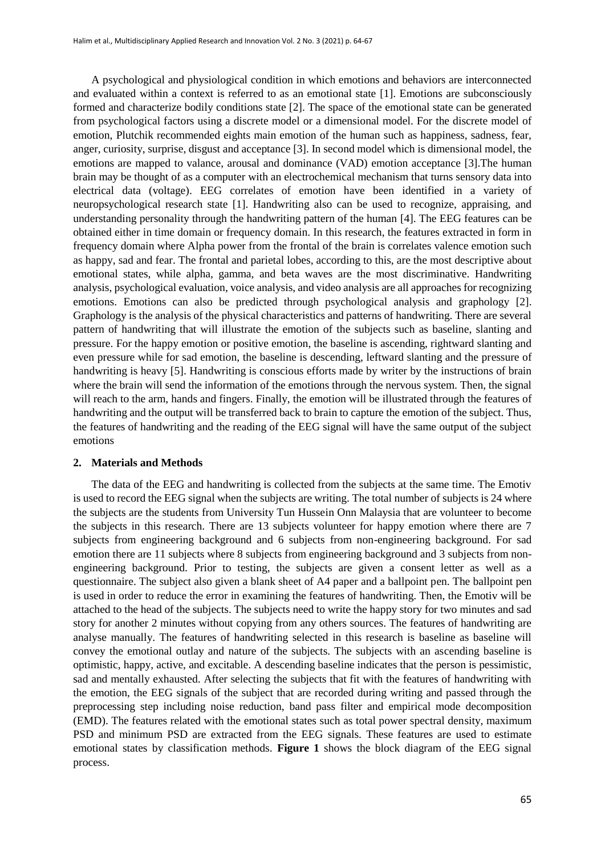A psychological and physiological condition in which emotions and behaviors are interconnected and evaluated within a context is referred to as an emotional state [1]. Emotions are subconsciously formed and characterize bodily conditions state [2]. The space of the emotional state can be generated from psychological factors using a discrete model or a dimensional model. For the discrete model of emotion, Plutchik recommended eights main emotion of the human such as happiness, sadness, fear, anger, curiosity, surprise, disgust and acceptance [3]. In second model which is dimensional model, the emotions are mapped to valance, arousal and dominance (VAD) emotion acceptance [3].The human brain may be thought of as a computer with an electrochemical mechanism that turns sensory data into electrical data (voltage). EEG correlates of emotion have been identified in a variety of neuropsychological research state [1]. Handwriting also can be used to recognize, appraising, and understanding personality through the handwriting pattern of the human [4]. The EEG features can be obtained either in time domain or frequency domain. In this research, the features extracted in form in frequency domain where Alpha power from the frontal of the brain is correlates valence emotion such as happy, sad and fear. The frontal and parietal lobes, according to this, are the most descriptive about emotional states, while alpha, gamma, and beta waves are the most discriminative. Handwriting analysis, psychological evaluation, voice analysis, and video analysis are all approaches for recognizing emotions. Emotions can also be predicted through psychological analysis and graphology [2]. Graphology is the analysis of the physical characteristics and patterns of handwriting. There are several pattern of handwriting that will illustrate the emotion of the subjects such as baseline, slanting and pressure. For the happy emotion or positive emotion, the baseline is ascending, rightward slanting and even pressure while for sad emotion, the baseline is descending, leftward slanting and the pressure of handwriting is heavy [5]. Handwriting is conscious efforts made by writer by the instructions of brain where the brain will send the information of the emotions through the nervous system. Then, the signal will reach to the arm, hands and fingers. Finally, the emotion will be illustrated through the features of handwriting and the output will be transferred back to brain to capture the emotion of the subject. Thus, the features of handwriting and the reading of the EEG signal will have the same output of the subject emotions

#### **2. Materials and Methods**

The data of the EEG and handwriting is collected from the subjects at the same time. The Emotiv is used to record the EEG signal when the subjects are writing. The total number of subjects is 24 where the subjects are the students from University Tun Hussein Onn Malaysia that are volunteer to become the subjects in this research. There are 13 subjects volunteer for happy emotion where there are 7 subjects from engineering background and 6 subjects from non-engineering background. For sad emotion there are 11 subjects where 8 subjects from engineering background and 3 subjects from nonengineering background. Prior to testing, the subjects are given a consent letter as well as a questionnaire. The subject also given a blank sheet of A4 paper and a ballpoint pen. The ballpoint pen is used in order to reduce the error in examining the features of handwriting. Then, the Emotiv will be attached to the head of the subjects. The subjects need to write the happy story for two minutes and sad story for another 2 minutes without copying from any others sources. The features of handwriting are analyse manually. The features of handwriting selected in this research is baseline as baseline will convey the emotional outlay and nature of the subjects. The subjects with an ascending baseline is optimistic, happy, active, and excitable. A descending baseline indicates that the person is pessimistic, sad and mentally exhausted. After selecting the subjects that fit with the features of handwriting with the emotion, the EEG signals of the subject that are recorded during writing and passed through the preprocessing step including noise reduction, band pass filter and empirical mode decomposition (EMD). The features related with the emotional states such as total power spectral density, maximum PSD and minimum PSD are extracted from the EEG signals. These features are used to estimate emotional states by classification methods. **Figure 1** shows the block diagram of the EEG signal process.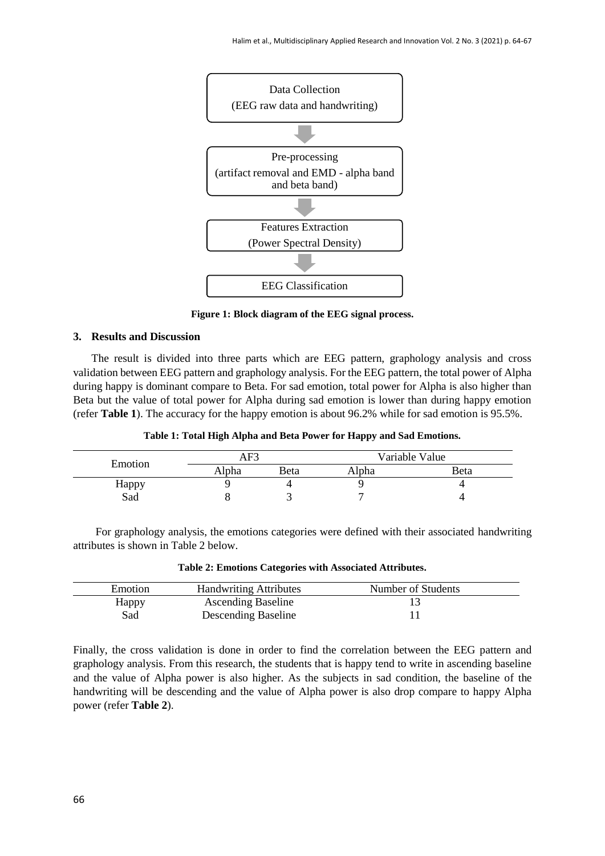

**Figure 1: Block diagram of the EEG signal process.**

#### **3. Results and Discussion**

The result is divided into three parts which are EEG pattern, graphology analysis and cross validation between EEG pattern and graphology analysis. For the EEG pattern, the total power of Alpha during happy is dominant compare to Beta. For sad emotion, total power for Alpha is also higher than Beta but the value of total power for Alpha during sad emotion is lower than during happy emotion (refer **Table 1**). The accuracy for the happy emotion is about 96.2% while for sad emotion is 95.5%.

**Table 1: Total High Alpha and Beta Power for Happy and Sad Emotions.**

|         | AF3   |      | Variable Value |      |
|---------|-------|------|----------------|------|
| Emotion | Alpha | Beta | Alpha          | Beta |
| Happy   |       |      |                |      |
| Sad     |       |      |                |      |

 For graphology analysis, the emotions categories were defined with their associated handwriting attributes is shown in Table 2 below.

| Emotion | <b>Handwriting Attributes</b> | Number of Students |  |
|---------|-------------------------------|--------------------|--|
| Happy   | <b>Ascending Baseline</b>     |                    |  |
| Sad     | Descending Baseline           |                    |  |

**Table 2: Emotions Categories with Associated Attributes.**

Finally, the cross validation is done in order to find the correlation between the EEG pattern and graphology analysis. From this research, the students that is happy tend to write in ascending baseline and the value of Alpha power is also higher. As the subjects in sad condition, the baseline of the handwriting will be descending and the value of Alpha power is also drop compare to happy Alpha power (refer **Table 2**).